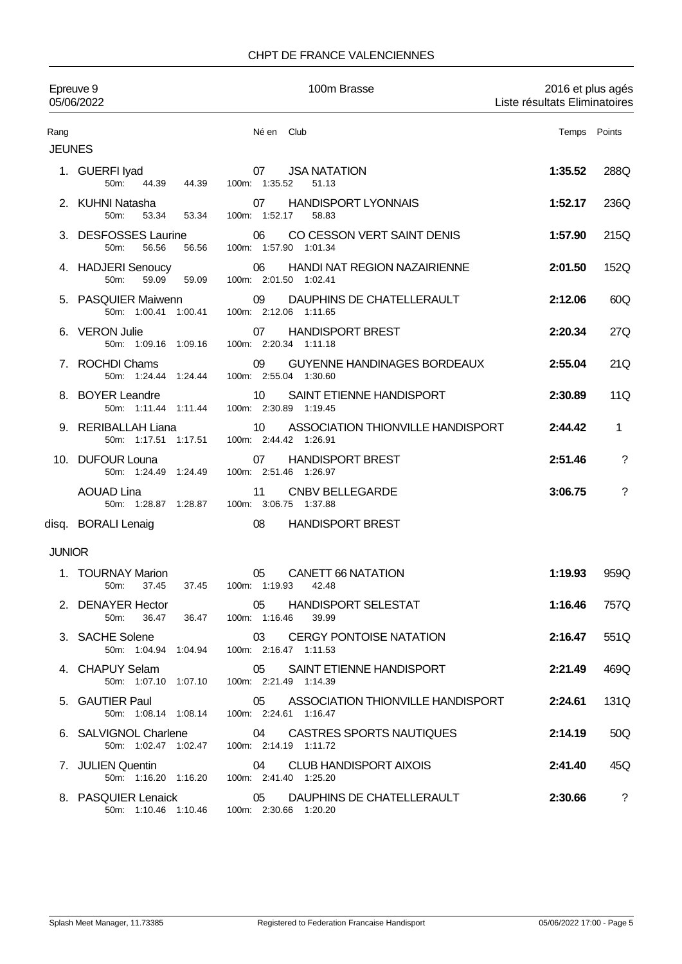### CHPT DE FRANCE VALENCIENNES

| Epreuve 9<br>05/06/2022 |                                                         | 100m Brasse                                                                | 2016 et plus agés<br>Liste résultats Eliminatoires |              |
|-------------------------|---------------------------------------------------------|----------------------------------------------------------------------------|----------------------------------------------------|--------------|
| Rang<br><b>JEUNES</b>   |                                                         | Né en Club                                                                 |                                                    | Temps Points |
|                         | 1. GUERFI lyad<br>50m:<br>44.39<br>44.39                | <b>JSA NATATION</b><br>07<br>100m: 1:35.52<br>51.13                        | 1:35.52                                            | 288Q         |
|                         | 2. KUHNI Natasha<br>50 <sub>m</sub> :<br>53.34<br>53.34 | <b>HANDISPORT LYONNAIS</b><br>07<br>100m: 1:52.17<br>58.83                 | 1:52.17                                            | 236Q         |
|                         | 3. DESFOSSES Laurine<br>50m:<br>56.56<br>56.56          | CO CESSON VERT SAINT DENIS<br>06<br>100m: 1:57.90 1:01.34                  | 1:57.90                                            | 215Q         |
|                         | 4. HADJERI Senoucy<br>50m:<br>59.09<br>59.09            | HANDI NAT REGION NAZAIRIENNE<br>06<br>100m: 2:01.50 1:02.41                | 2:01.50                                            | 152Q         |
|                         | 5. PASQUIER Maiwenn<br>50m: 1:00.41 1:00.41             | DAUPHINS DE CHATELLERAULT<br>09<br>100m: 2:12.06 1:11.65                   | 2:12.06                                            | 60Q          |
|                         | 6. VERON Julie<br>50m: 1:09.16 1:09.16                  | 07<br><b>HANDISPORT BREST</b><br>100m: 2:20.34 1:11.18                     | 2:20.34                                            | 27Q          |
|                         | 7. ROCHDI Chams<br>50m: 1:24.44 1:24.44                 | 09<br><b>GUYENNE HANDINAGES BORDEAUX</b><br>100m: 2:55.04 1:30.60          | 2:55.04                                            | 21Q          |
|                         | 8. BOYER Leandre<br>50m: 1:11.44 1:11.44                | SAINT ETIENNE HANDISPORT<br>10<br>100m: 2:30.89 1:19.45                    | 2:30.89                                            | 11Q          |
|                         | 9. RERIBALLAH Liana<br>50m: 1:17.51 1:17.51             | ASSOCIATION THIONVILLE HANDISPORT<br>10<br>100m: 2:44.42 1:26.91           | 2:44.42                                            | $\mathbf{1}$ |
|                         | 10. DUFOUR Louna<br>50m: 1:24.49 1:24.49                | <b>HANDISPORT BREST</b><br>07<br>100m: 2:51.46 1:26.97                     | 2:51.46                                            | $\ddot{?}$   |
|                         | <b>AOUAD Lina</b><br>50m: 1:28.87 1:28.87               | <b>CNBV BELLEGARDE</b><br>11<br>100m: 3:06.75 1:37.88                      | 3:06.75                                            | $\gamma$     |
|                         | disq. BORALI Lenaig                                     | <b>HANDISPORT BREST</b><br>08                                              |                                                    |              |
| <b>JUNIOR</b>           |                                                         |                                                                            |                                                    |              |
|                         | 1. TOURNAY Marion<br>37.45<br>37.45<br>50m:             | 05<br><b>CANETT 66 NATATION</b><br>100m: 1:19.93<br>42.48                  | 1:19.93                                            | 959Q         |
|                         | 2. DENAYER Hector<br>50m:                               | 05 HANDISPORT SELESTAT<br>36.47 36.47 100m: 1:16.46<br>39.99               | 1:16.46                                            | 757Q         |
|                         | 3. SACHE Solene                                         | 03 CERGY PONTOISE NATATION<br>50m: 1:04.94 1:04.94 100m: 2:16.47 1:11.53   | 2:16.47                                            | 551Q         |
|                         | 4. CHAPUY Selam<br>50m: 1:07.10 1:07.10                 | SAINT ETIENNE HANDISPORT<br>05<br>100m: 2:21.49 1:14.39                    | 2:21.49                                            | 469Q         |
|                         | 5. GAUTIER Paul<br>50m: 1:08.14 1:08.14                 | ASSOCIATION THIONVILLE HANDISPORT<br>05<br>100m: 2:24.61 1:16.47           | 2:24.61                                            | 131Q         |
|                         | 6. SALVIGNOL Charlene<br>50m: 1:02.47 1:02.47           | 04 CASTRES SPORTS NAUTIQUES<br>100m: 2:14.19 1:11.72                       | 2:14.19                                            | 50Q          |
|                         | 7. JULIEN Quentin<br>50m: 1:16.20 1:16.20               | 04<br><b>CLUB HANDISPORT AIXOIS</b><br>100m: 2:41.40 1:25.20               | 2:41.40                                            | 45Q          |
|                         | 8. PASQUIER Lenaick                                     | 05 DAUPHINS DE CHATELLERAULT<br>50m: 1:10.46 1:10.46 100m: 2:30.66 1:20.20 | 2:30.66                                            | $\cdot$      |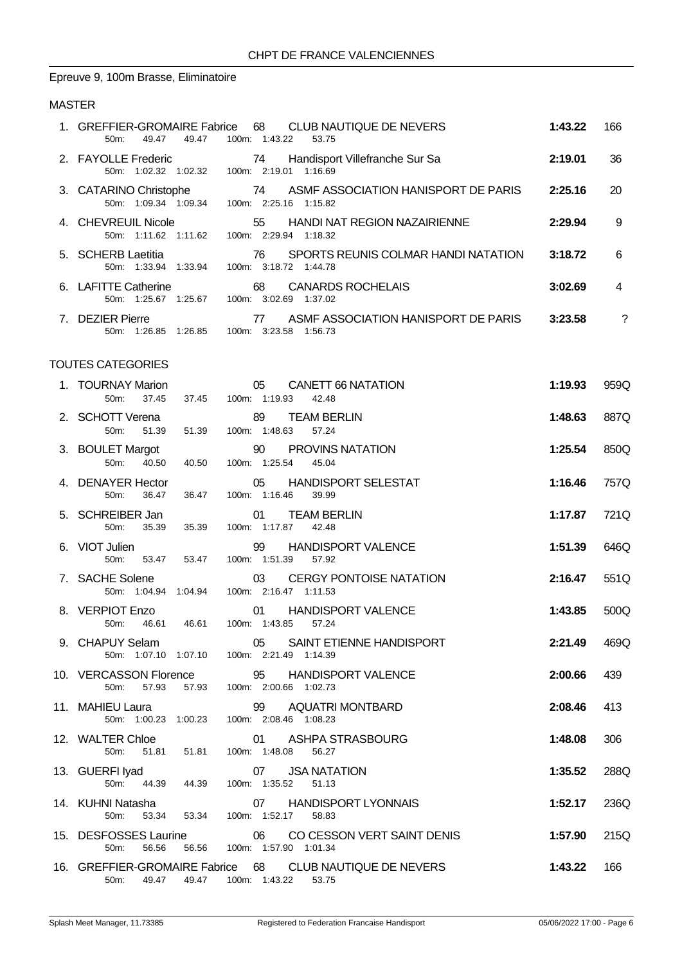## Epreuve 9, 100m Brasse, Eliminatoire

### MASTER

| 1. GREFFIER-GROMAIRE Fabrice<br>50m:<br>49.47<br>49.47                          | 68<br>CLUB NAUTIQUE DE NEVERS<br>100m: 1:43.22<br>53.75           | 1:43.22 | 166        |
|---------------------------------------------------------------------------------|-------------------------------------------------------------------|---------|------------|
| 2. FAYOLLE Frederic 74 Handisport 74 50m: 1:02.32 1:02.32 100m: 2:19.01 1:16.69 | Handisport Villefranche Sur Sa                                    | 2:19.01 | 36         |
| 50m: 1:09.34 1:09.34 100m: 2:25.16 1:15.82                                      | 3. CATARINO Christophe 74 ASMF ASSOCIATION HANISPORT DE PARIS     | 2:25.16 | 20         |
| 4. CHEVREUIL Nicole<br>50m: 1:11.62 1:11.62 100m: 2:29.94 1:18.32               | 55<br>HANDI NAT REGION NAZAIRIENNE                                | 2:29.94 | 9          |
| 5. SCHERB Laetitia<br>50m: 1:33.94 1:33.94 100m: 3:18.72 1:44.78                | 76 SPORTS REUNIS COLMAR HANDI NATATION                            | 3:18.72 | $\,6\,$    |
| 6. LAFITTE Catherine<br>50m: 1:25.67 1:25.67 100m: 3:02.69 1:37.02              | 68 CANARDS ROCHELAIS                                              | 3:02.69 | 4          |
| 7. DEZIER Pierre<br>50m: 1:26.85 1:26.85 100m: 3:23.58 1:56.73                  | 77 ASME ASSOCIATION HANISPORT DE PARIS 3:23.58                    |         | $\ddot{?}$ |
| TOUTES CATEGORIES                                                               |                                                                   |         |            |
| 1. TOURNAY Marion<br>50m:<br>37.45                                              | 05<br><b>CANETT 66 NATATION</b><br>37.45 100m: 1:19.93<br>42.48   | 1:19.93 | 959Q       |
| 2. SCHOTT Verena<br>51.39  51.39  100m: 1:48.63<br>50m:                         | 89<br><b>TEAM BERLIN</b><br>57.24                                 | 1:48.63 | 887Q       |
| 3. BOULET Margot<br>50m:<br>40.50<br>40.50                                      | PROVINS NATATION<br>90<br>100m: 1:25.54<br>45.04                  | 1:25.54 | 850Q       |
| 4. DENAYER Hector<br>50m:<br>36.47<br>36.47                                     | 05<br><b>HANDISPORT SELESTAT</b><br>100m: 1:16.46<br>39.99        | 1:16.46 | 757Q       |
| 5. SCHREIBER Jan<br>35.39<br>50 <sub>m</sub> :<br>35.39                         | <b>TEAM BERLIN</b><br>01<br>100m: 1:17.87<br>42.48                | 1:17.87 | 721Q       |
| 6. VIOT Julien<br>50m:<br>53.47<br>53.47                                        | <b>HANDISPORT VALENCE</b><br>99<br>100m: 1:51.39<br>57.92         | 1:51.39 | 646Q       |
| 7. SACHE Solene<br>50m: 1:04.94 1:04.94                                         | 03<br><b>CERGY PONTOISE NATATION</b><br>100m: 2:16.47 1:11.53     | 2:16.47 | 551Q       |
| 8. VERPIOT Enzo<br>50m:<br>46.61                                                | <b>HANDISPORT VALENCE</b><br>01<br>46.61  100m: 1:43.85<br>57.24  | 1:43.85 | 500Q       |
| 9. CHAPUY Selam<br>50m: 1:07.10 1:07.10 100m: 2:21.49 1:14.39                   | 05 SAINT ETIENNE HANDISPORT                                       | 2:21.49 | 469Q       |
| 10. VERCASSON Florence 95 HANDISP<br>50m: 57.93 57.93 100m: 2:00.66 1:02.73     | 95 HANDISPORT VALENCE                                             | 2:00.66 | 439        |
| 11. MAHIEU Laura<br>50m: 1:00.23 1:00.23 100m: 2:08.46 1:08.23                  | 99 AQUATRI MONTBARD                                               | 2:08.46 | 413        |
| 12. WALTER Chloe<br>51.81  51.81  100m: 1:48.08<br>50m:                         | ASHPA STRASBOURG<br>01<br>56.27                                   | 1:48.08 | 306        |
| 13. GUERFI Iyad 07 JSA NA I /<br>50m: 44.39 44.39 100m: 1:35.52 51.13           | 07 JSA NATATION                                                   | 1:35.52 | 288Q       |
| 14. KUHNI Natasha<br>53.34  53.34  100m: 1:52.17<br>50m:                        | 07 HANDISPORT LYONNAIS<br>58.83                                   | 1:52.17 | 236Q       |
| 15. DESFOSSES Laurine<br>50m:<br>56.56                                          | 06<br>CO CESSON VERT SAINT DENIS<br>56.56  100m: 1:57.90  1:01.34 | 1:57.90 | 215Q       |
| 50m: 49.47 49.47 100m: 1:43.22 53.75                                            | 16. GREFFIER-GROMAIRE Fabrice 68 CLUB NAUTIQUE DE NEVERS          | 1:43.22 | 166        |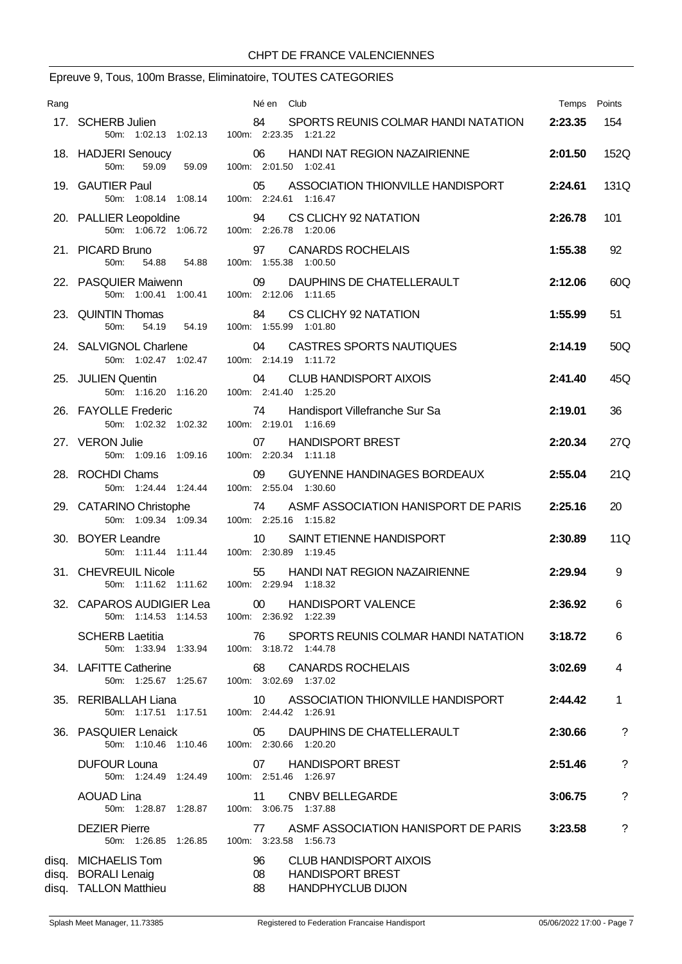# Epreuve 9, Tous, 100m Brasse, Eliminatoire, TOUTES CATEGORIES

| Rang |                                                                     | Né en Club                                                                                             | Temps Points |             |
|------|---------------------------------------------------------------------|--------------------------------------------------------------------------------------------------------|--------------|-------------|
|      | 17. SCHERB Julien                                                   | SPORTS REUNIS COLMAR HANDI NATATION<br>84<br>50m: 1:02.13 1:02.13 100m: 2:23.35 1:21.22                | 2:23.35      | 154         |
|      | 18. HADJERI Senoucy<br>50m:<br>59.09<br>59.09                       | 06<br>HANDI NAT REGION NAZAIRIENNE<br>100m: 2:01.50 1:02.41                                            | 2:01.50      | 152Q        |
|      | 19. GAUTIER Paul                                                    | 05 ASSOCIATION THIONVILLE HANDISPORT<br>50m: 1:08.14 1:08.14 100m: 2:24.61 1:16.47                     | 2:24.61      | 131Q        |
|      | 20. PALLIER Leopoldine                                              | 94 CS CLICHY 92 NATATION<br>50m: 1:06.72 1:06.72 100m: 2:26.78 1:20.06                                 | 2:26.78      | 101         |
|      | 21. PICARD Bruno<br>50m:<br>54.88<br>54.88                          | <b>CANARDS ROCHELAIS</b><br>97<br>100m: 1:55.38 1:00.50                                                | 1:55.38      | 92          |
|      | 22. PASQUIER Maiwenn                                                | 09<br>DAUPHINS DE CHATELLERAULT<br>50m: 1:00.41 1:00.41 100m: 2:12.06 1:11.65                          | 2:12.06      | 60Q         |
|      | 23. QUINTIN Thomas<br>54.19<br>50m:<br>54.19                        | 84 CS CLICHY 92 NATATION<br>100m: 1:55.99 1:01.80                                                      | 1:55.99      | 51          |
|      | 24. SALVIGNOL Charlene<br>50m: 1:02.47 1:02.47                      | CASTRES SPORTS NAUTIQUES<br>04<br>100m: 2:14.19 1:11.72                                                | 2:14.19      | 50Q         |
|      | 25. JULIEN Quentin                                                  | 04<br><b>CLUB HANDISPORT AIXOIS</b><br>50m: 1:16.20 1:16.20 100m: 2:41.40 1:25.20                      | 2:41.40      | 45Q         |
|      | 26. FAYOLLE Frederic<br>50m: 1:02.32 1:02.32                        | 74 Handisport Villefranche Sur Sa<br>100m: 2:19.01 1:16.69                                             | 2:19.01      | 36          |
|      | 27. VERON Julie<br>50m: 1:09.16 1:09.16                             | <b>HANDISPORT BREST</b><br>07<br>100m: 2:20.34 1:11.18                                                 | 2:20.34      | 27Q         |
|      | 28. ROCHDI Chams                                                    | 09<br>GUYENNE HANDINAGES BORDEAUX<br>50m: 1:24.44 1:24.44 100m: 2:55.04 1:30.60                        | 2:55.04      | 21Q         |
|      | 29. CATARINO Christophe                                             | 74 ASMF ASSOCIATION HANISPORT DE PARIS<br>50m: 1:09.34 1:09.34 100m: 2:25.16 1:15.82                   | 2:25.16      | 20          |
|      | 30. BOYER Leandre                                                   | 10 <sup>°</sup><br>SAINT ETIENNE HANDISPORT<br>50m: 1:11.44 1:11.44 100m: 2:30.89 1:19.45              | 2:30.89      | 11Q         |
|      | 31. CHEVREUIL Nicole                                                | 55 HANDI NAT REGION NAZAIRIENNE<br>50m: 1:11.62 1:11.62 100m: 2:29.94 1:18.32                          | 2:29.94      | 9           |
|      |                                                                     | 32. CAPAROS AUDIGIER Lea 00 HANDISPORT VALENCE<br>50m: 1:14.53 1:14.53 100m: 2:36.92 1:22.39           | 2:36.92      | 6.          |
|      | <b>SCHERB Laetitia</b>                                              | 76<br>SPORTS REUNIS COLMAR HANDI NATATION<br>50m: 1:33.94 1:33.94 100m: 3:18.72 1:44.78                | 3:18.72      | 6           |
|      | 34. LAFITTE Catherine                                               | <b>CANARDS ROCHELAIS</b><br>68 —<br>50m: 1:25.67 1:25.67 100m: 3:02.69 1:37.02                         | 3:02.69      | 4           |
|      | 35. RERIBALLAH Liana                                                | ASSOCIATION THIONVILLE HANDISPORT<br>10<br>50m: 1:17.51  1:17.51  100m: 2:44.42  1:26.91               | 2:44.42      | 1           |
|      | 36. PASQUIER Lenaick                                                | DAUPHINS DE CHATELLERAULT<br>05<br>50m: 1:10.46 1:10.46 100m: 2:30.66 1:20.20                          | 2:30.66      | ?           |
|      | <b>DUFOUR Louna</b><br>50m: 1:24.49 1:24.49                         | 07 HANDISPORT BREST<br>100m: 2:51.46 1:26.97                                                           | 2:51.46      | $\tilde{?}$ |
|      | <b>AOUAD Lina</b><br>50m: 1:28.87 1:28.87                           | <b>CNBV BELLEGARDE</b><br>11<br>100m: 3:06.75 1:37.88                                                  | 3:06.75      | ?           |
|      | <b>DEZIER Pierre</b><br>50m: 1:26.85 1:26.85                        | ASMF ASSOCIATION HANISPORT DE PARIS<br>77<br>100m: 3:23.58 1:56.73                                     | 3:23.58      | ?           |
|      | disq. MICHAELIS Tom<br>disq. BORALI Lenaig<br>disq. TALLON Matthieu | 96<br><b>CLUB HANDISPORT AIXOIS</b><br><b>HANDISPORT BREST</b><br>08<br><b>HANDPHYCLUB DIJON</b><br>88 |              |             |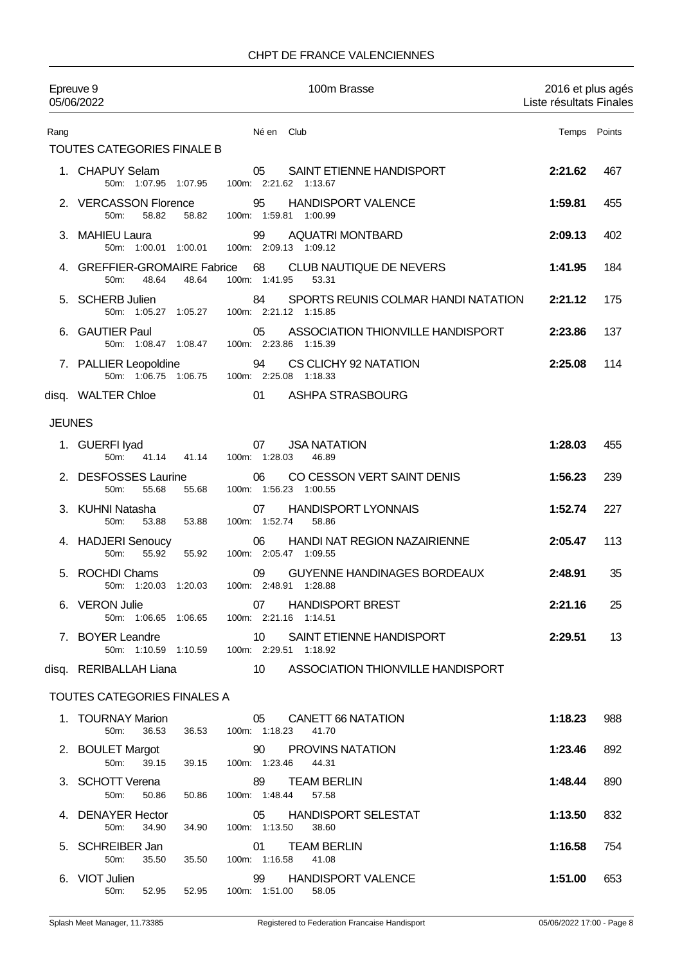### CHPT DE FRANCE VALENCIENNES

|               | Epreuve 9<br>05/06/2022                                | 100m Brasse                                                                  | 2016 et plus agés<br>Liste résultats Finales |     |
|---------------|--------------------------------------------------------|------------------------------------------------------------------------------|----------------------------------------------|-----|
| Rang          |                                                        | Né en Club                                                                   | Temps Points                                 |     |
|               | TOUTES CATEGORIES FINALE B                             |                                                                              |                                              |     |
|               | 1. CHAPUY Selam<br>50m: 1:07.95 1:07.95                | 05<br>SAINT ETIENNE HANDISPORT<br>100m: 2:21.62 1:13.67                      | 2:21.62                                      | 467 |
|               | 2. VERCASSON Florence<br>50m:<br>58.82<br>58.82        | <b>HANDISPORT VALENCE</b><br>95<br>100m: 1:59.81 1:00.99                     | 1:59.81                                      | 455 |
|               | 3. MAHIEU Laura<br>50m: 1:00.01 1:00.01                | <b>AQUATRI MONTBARD</b><br>99<br>100m: 2:09.13 1:09.12                       | 2:09.13                                      | 402 |
|               | 4. GREFFIER-GROMAIRE Fabrice<br>50m:<br>48.64<br>48.64 | 68<br>CLUB NAUTIQUE DE NEVERS<br>100m: 1:41.95<br>53.31                      | 1:41.95                                      | 184 |
|               | 5. SCHERB Julien<br>50m: 1:05.27 1:05.27               | SPORTS REUNIS COLMAR HANDI NATATION<br>84<br>100m: 2.21.12 1:15.85           | 2:21.12                                      | 175 |
|               | 6. GAUTIER Paul<br>50m: 1:08.47 1:08.47                | ASSOCIATION THIONVILLE HANDISPORT<br>05<br>100m: 2:23.86 1:15.39             | 2:23.86                                      | 137 |
|               | 7. PALLIER Leopoldine<br>50m: 1:06.75 1:06.75          | 94<br>CS CLICHY 92 NATATION<br>100m: 2:25.08 1:18.33                         | 2:25.08                                      | 114 |
|               | disq. WALTER Chloe                                     | 01<br>ASHPA STRASBOURG                                                       |                                              |     |
| <b>JEUNES</b> |                                                        |                                                                              |                                              |     |
|               | 1. GUERFI Iyad<br>50m: 41.14<br>41.14                  | <b>JSA NATATION</b><br>07<br>100m: 1:28.03<br>46.89                          | 1:28.03                                      | 455 |
|               | 2. DESFOSSES Laurine<br>50m:<br>55.68<br>55.68         | CO CESSON VERT SAINT DENIS<br>06<br>100m: 1:56.23 1:00.55                    | 1:56.23                                      | 239 |
|               | 3. KUHNI Natasha<br>50m:<br>53.88<br>53.88             | <b>HANDISPORT LYONNAIS</b><br>07<br>100m: 1:52.74<br>58.86                   | 1:52.74                                      | 227 |
|               | 4. HADJERI Senoucy<br>50m:<br>55.92<br>55.92           | HANDI NAT REGION NAZAIRIENNE<br>06<br>100m: 2:05.47 1:09.55                  | 2:05.47                                      | 113 |
|               | 5. ROCHDI Chams<br>50m: 1:20.03<br>1:20.03             | <b>GUYENNE HANDINAGES BORDEAUX</b><br>09<br>100m: 2:48.91<br>1:28.88         | 2:48.91                                      | 35  |
|               | 6. VERON Julie                                         | 07 HANDISPORT BREST<br>50m: 1:06.65 1:06.65 100m: 2:21.16 1:14.51            | 2:21.16                                      | 25  |
|               | 7. BOYER Leandre                                       | 10 SAINT ETIENNE HANDISPORT<br>50m: 1:10.59  1:10.59  100m: 2:29.51  1:18.92 | 2:29.51                                      | 13  |
|               | disq. RERIBALLAH Liana                                 | 10 ASSOCIATION THIONVILLE HANDISPORT                                         |                                              |     |
|               | <b>TOUTES CATEGORIES FINALES A</b>                     |                                                                              |                                              |     |
|               | 1. TOURNAY Marion<br>36.53<br>50m:<br>36.53            | CANETT 66 NATATION<br>05<br>100m: 1:18.23<br>41.70                           | 1:18.23                                      | 988 |
|               | 2. BOULET Margot<br>39.15<br>50m:<br>39.15             | <b>PROVINS NATATION</b><br>90<br>100m: 1:23.46<br>44.31                      | 1:23.46                                      | 892 |
|               | 3. SCHOTT Verena<br>50m:<br>50.86<br>50.86             | <b>TEAM BERLIN</b><br>89<br>100m: 1:48.44<br>57.58                           | 1:48.44                                      | 890 |
|               | 4. DENAYER Hector<br>34.90<br>50m:<br>34.90            | <b>HANDISPORT SELESTAT</b><br>05<br>100m: 1:13.50<br>38.60                   | 1:13.50                                      | 832 |
|               | 5. SCHREIBER Jan<br>50m:<br>35.50<br>35.50             | <b>TEAM BERLIN</b><br>01.<br>100m: 1:16.58<br>41.08                          | 1:16.58                                      | 754 |
|               | 6. VIOT Julien                                         | 99<br><b>HANDISPORT VALENCE</b><br>50m: 52.95 52.95 100m: 1:51.00 58.05      | 1:51.00                                      | 653 |